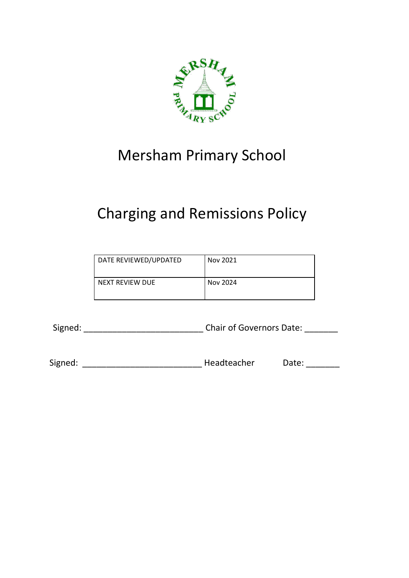

# Mersham Primary School

# Charging and Remissions Policy

| DATE REVIEWED/UPDATED | Nov 2021 |
|-----------------------|----------|
| NEXT REVIEW DUE       | Nov 2024 |

Signed: \_\_\_\_\_\_\_\_\_\_\_\_\_\_\_\_\_\_\_\_\_\_\_\_\_ Chair of Governors Date: \_\_\_\_\_\_\_

Signed: \_\_\_\_\_\_\_\_\_\_\_\_\_\_\_\_\_\_\_\_\_\_\_\_\_ Headteacher Date: \_\_\_\_\_\_\_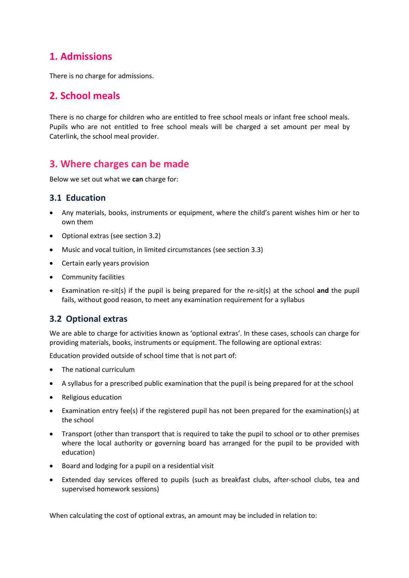## **1. Admissions**

There is no charge for admissions.

# **2. School meals**

There is no charge for children who are entitled to free school meals or infant free school meals. Pupils who are not entitled to free school meals will be charged a set amount per meal by Caterlink, the school meal provider.

# **3. Where charges can be made**

Below we set out what we **can** charge for:

### **3.1 Education**

- Any materials, books, instruments or equipment, where the child's parent wishes him or her to own them
- Optional extras (see section 3.2)
- Music and vocal tuition, in limited circumstances (see section 3.3)
- Certain early years provision
- Community facilities
- Examination re-sit(s) if the pupil is being prepared for the re-sit(s) at the school **and** the pupil fails, without good reason, to meet any examination requirement for a syllabus

## **3.2 Optional extras**

We are able to charge for activities known as 'optional extras'. In these cases, schools can charge for providing materials, books, instruments or equipment. The following are optional extras:

Education provided outside of school time that is not part of:

- The national curriculum
- A syllabus for a prescribed public examination that the pupil is being prepared for at the school
- Religious education
- Examination entry fee(s) if the registered pupil has not been prepared for the examination(s) at the school
- Transport (other than transport that is required to take the pupil to school or to other premises where the local authority or governing board has arranged for the pupil to be provided with education)
- Board and lodging for a pupil on a residential visit
- Extended day services offered to pupils (such as breakfast clubs, after-school clubs, tea and supervised homework sessions)

When calculating the cost of optional extras, an amount may be included in relation to: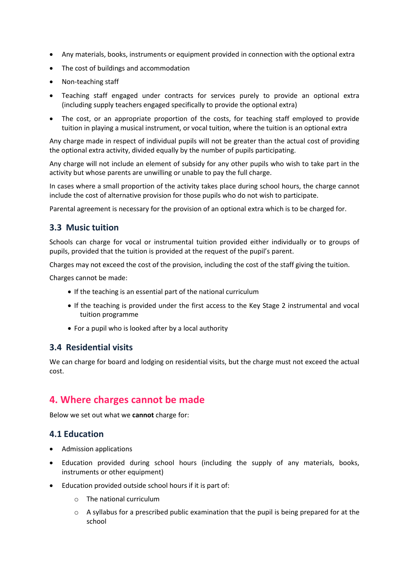- Any materials, books, instruments or equipment provided in connection with the optional extra
- The cost of buildings and accommodation
- Non-teaching staff
- Teaching staff engaged under contracts for services purely to provide an optional extra (including supply teachers engaged specifically to provide the optional extra)
- The cost, or an appropriate proportion of the costs, for teaching staff employed to provide tuition in playing a musical instrument, or vocal tuition, where the tuition is an optional extra

Any charge made in respect of individual pupils will not be greater than the actual cost of providing the optional extra activity, divided equally by the number of pupils participating.

Any charge will not include an element of subsidy for any other pupils who wish to take part in the activity but whose parents are unwilling or unable to pay the full charge.

In cases where a small proportion of the activity takes place during school hours, the charge cannot include the cost of alternative provision for those pupils who do not wish to participate.

Parental agreement is necessary for the provision of an optional extra which is to be charged for.

#### **3.3 Music tuition**

Schools can charge for vocal or instrumental tuition provided either individually or to groups of pupils, provided that the tuition is provided at the request of the pupil's parent.

Charges may not exceed the cost of the provision, including the cost of the staff giving the tuition.

Charges cannot be made:

- If the teaching is an essential part of the national curriculum
- If the teaching is provided under the first access to the Key Stage 2 instrumental and vocal tuition programme
- For a pupil who is looked after by a local authority

#### **3.4 Residential visits**

We can charge for board and lodging on residential visits, but the charge must not exceed the actual cost.

## **4. Where charges cannot be made**

Below we set out what we **cannot** charge for:

#### **4.1 Education**

- Admission applications
- Education provided during school hours (including the supply of any materials, books, instruments or other equipment)
- Education provided outside school hours if it is part of:
	- o The national curriculum
	- $\circ$  A syllabus for a prescribed public examination that the pupil is being prepared for at the school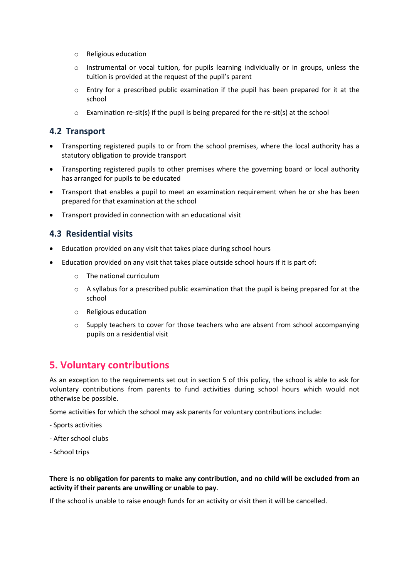- o Religious education
- o Instrumental or vocal tuition, for pupils learning individually or in groups, unless the tuition is provided at the request of the pupil's parent
- $\circ$  Entry for a prescribed public examination if the pupil has been prepared for it at the school
- o Examination re-sit(s) if the pupil is being prepared for the re-sit(s) at the school

### **4.2 Transport**

- Transporting registered pupils to or from the school premises, where the local authority has a statutory obligation to provide transport
- Transporting registered pupils to other premises where the governing board or local authority has arranged for pupils to be educated
- Transport that enables a pupil to meet an examination requirement when he or she has been prepared for that examination at the school
- Transport provided in connection with an educational visit

### **4.3 Residential visits**

- Education provided on any visit that takes place during school hours
- Education provided on any visit that takes place outside school hours if it is part of:
	- o The national curriculum
	- o A syllabus for a prescribed public examination that the pupil is being prepared for at the school
	- o Religious education
	- $\circ$  Supply teachers to cover for those teachers who are absent from school accompanying pupils on a residential visit

# **5. Voluntary contributions**

As an exception to the requirements set out in section 5 of this policy, the school is able to ask for voluntary contributions from parents to fund activities during school hours which would not otherwise be possible.

Some activities for which the school may ask parents for voluntary contributions include:

- Sports activities
- After school clubs
- School trips

#### **There is no obligation for parents to make any contribution, and no child will be excluded from an activity if their parents are unwilling or unable to pay**.

If the school is unable to raise enough funds for an activity or visit then it will be cancelled.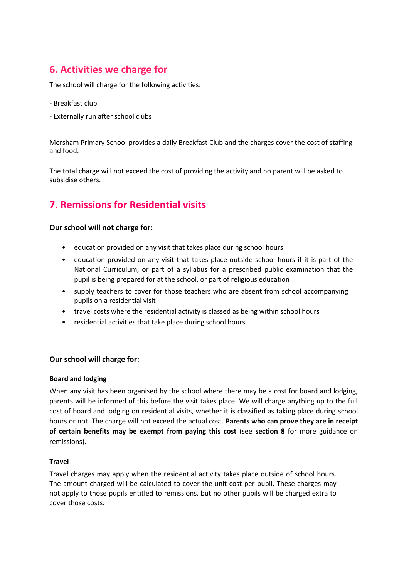# **6. Activities we charge for**

The school will charge for the following activities:

- Breakfast club
- Externally run after school clubs

Mersham Primary School provides a daily Breakfast Club and the charges cover the cost of staffing and food.

The total charge will not exceed the cost of providing the activity and no parent will be asked to subsidise others.

# **7. Remissions for Residential visits**

#### **Our school will not charge for:**

- education provided on any visit that takes place during school hours
- education provided on any visit that takes place outside school hours if it is part of the National Curriculum, or part of a syllabus for a prescribed public examination that the pupil is being prepared for at the school, or part of religious education
- supply teachers to cover for those teachers who are absent from school accompanying pupils on a residential visit
- travel costs where the residential activity is classed as being within school hours
- residential activities that take place during school hours.

#### **Our school will charge for:**

#### **Board and lodging**

When any visit has been organised by the school where there may be a cost for board and lodging, parents will be informed of this before the visit takes place. We will charge anything up to the full cost of board and lodging on residential visits, whether it is classified as taking place during school hours or not. The charge will not exceed the actual cost. **Parents who can prove they are in receipt of certain benefits may be exempt from paying this cost** (see **section 8** for more guidance on remissions).

#### **Travel**

Travel charges may apply when the residential activity takes place outside of school hours. The amount charged will be calculated to cover the unit cost per pupil. These charges may not apply to those pupils entitled to remissions, but no other pupils will be charged extra to cover those costs.